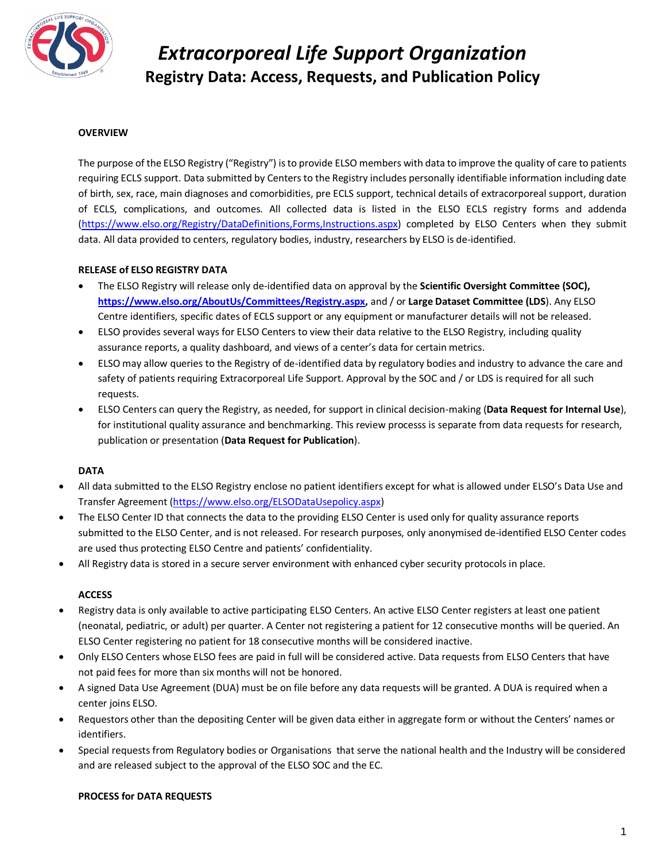

### **OVERVIEW**

The purpose of the ELSO Registry ("Registry") is to provide ELSO members with data to improve the quality of care to patients requiring ECLS support. Data submitted by Centers to the Registry includes personally identifiable information including date of birth, sex, race, main diagnoses and comorbidities, pre ECLS support, technical details of extracorporeal support, duration of ECLS, complications, and outcomes. All collected data is listed in the ELSO ECLS registry forms and addenda [\(https://www.elso.org/Registry/DataDefinitions,Forms,Instructions.aspx\)](https://www.elso.org/Registry/DataDefinitions,Forms,Instructions.aspx) completed by ELSO Centers when they submit data. All data provided to centers, regulatory bodies, industry, researchers by ELSO is de-identified.

### **RELEASE of ELSO REGISTRY DATA**

- The ELSO Registry will release only de-identified data on approval by the **Scientific Oversight Committee (SOC), [https://www.elso.org/AboutUs/Committees/Registry.aspx,](https://www.elso.org/AboutUs/Committees/Registry.aspx)** and / or **Large Dataset Committee (LDS**). Any ELSO Centre identifiers, specific dates of ECLS support or any equipment or manufacturer details will not be released.
- ELSO provides several ways for ELSO Centers to view their data relative to the ELSO Registry, including quality assurance reports, a quality dashboard, and views of a center's data for certain metrics.
- ELSO may allow queries to the Registry of de-identified data by regulatory bodies and industry to advance the care and safety of patients requiring Extracorporeal Life Support. Approval by the SOC and / or LDS is required for all such requests.
- ELSO Centers can query the Registry, as needed, for support in clinical decision-making (**Data Request for Internal Use**), for institutional quality assurance and benchmarking. This review processs is separate from data requests for research, publication or presentation (**Data Request for Publication**).

#### **DATA**

- All data submitted to the ELSO Registry enclose no patient identifiers except for what is allowed under ELSO's Data Use and Transfer Agreement [\(https://www.elso.org/ELSODataUsepolicy.aspx\)](https://www.elso.org/ELSODataUsepolicy.aspx)
- The ELSO Center ID that connects the data to the providing ELSO Center is used only for quality assurance reports submitted to the ELSO Center, and is not released. For research purposes, only anonymised de-identified ELSO Center codes are used thus protecting ELSO Centre and patients' confidentiality.
- All Registry data is stored in a secure server environment with enhanced cyber security protocols in place.

#### **ACCESS**

- Registry data is only available to active participating ELSO Centers. An active ELSO Center registers at least one patient (neonatal, pediatric, or adult) per quarter. A Center not registering a patient for 12 consecutive months will be queried. An ELSO Center registering no patient for 18 consecutive months will be considered inactive.
- Only ELSO Centers whose ELSO fees are paid in full will be considered active. Data requests from ELSO Centers that have not paid fees for more than six months will not be honored.
- A signed Data Use Agreement (DUA) must be on file before any data requests will be granted. A DUA is required when a center joins ELSO.
- Requestors other than the depositing Center will be given data either in aggregate form or without the Centers' names or identifiers.
- Special requests from Regulatory bodies or Organisations that serve the national health and the Industry will be considered and are released subject to the approval of the ELSO SOC and the EC.

#### **PROCESS for DATA REQUESTS**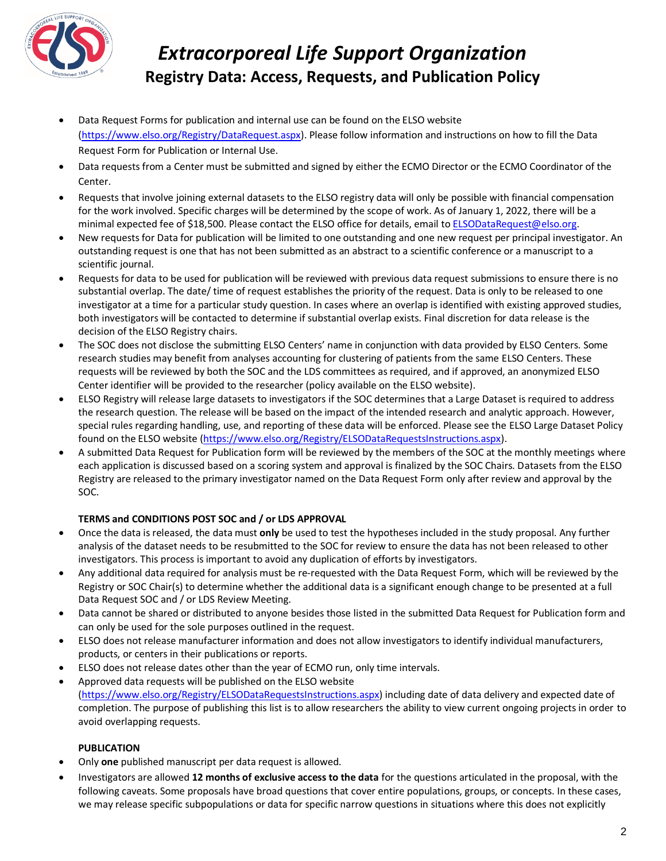

- Data Request Forms for publication and internal use can be found on the ELSO website [\(https://www.elso.org/Registry/DataRequest.aspx\)](https://www.elso.org/Registry/DataRequest.aspx). Please follow information and instructions on how to fill the Data Request Form for Publication or Internal Use.
- Data requests from a Center must be submitted and signed by either the ECMO Director or the ECMO Coordinator of the Center.
- Requests that involve joining external datasets to the ELSO registry data will only be possible with financial compensation for the work involved. Specific charges will be determined by the scope of work. As of January 1, 2022, there will be a minimal expected fee of \$18,500. Please contact the ELSO office for details, email t[o ELSODataRequest@elso.org.](mailto:ELSODataRequest@elso.org)
- New requests for Data for publication will be limited to one outstanding and one new request per principal investigator. An outstanding request is one that has not been submitted as an abstract to a scientific conference or a manuscript to a scientific journal.
- Requests for data to be used for publication will be reviewed with previous data request submissions to ensure there is no substantial overlap. The date/ time of request establishes the priority of the request. Data is only to be released to one investigator at a time for a particular study question. In cases where an overlap is identified with existing approved studies, both investigators will be contacted to determine if substantial overlap exists. Final discretion for data release is the decision of the ELSO Registry chairs.
- The SOC does not disclose the submitting ELSO Centers' name in conjunction with data provided by ELSO Centers. Some research studies may benefit from analyses accounting for clustering of patients from the same ELSO Centers. These requests will be reviewed by both the SOC and the LDS committees as required, and if approved, an anonymized ELSO Center identifier will be provided to the researcher (policy available on the ELSO website).
- ELSO Registry will release large datasets to investigators if the SOC determines that a Large Dataset is required to address the research question. The release will be based on the impact of the intended research and analytic approach. However, special rules regarding handling, use, and reporting of these data will be enforced. Please see the ELSO Large Dataset Policy found on the ELSO website [\(https://www.elso.org/Registry/ELSODataRequestsInstructions.aspx\)](https://www.elso.org/Registry/ELSODataRequestsInstructions.aspx).
- A submitted Data Request for Publication form will be reviewed by the members of the SOC at the monthly meetings where each application is discussed based on a scoring system and approval is finalized by the SOC Chairs. Datasets from the ELSO Registry are released to the primary investigator named on the Data Request Form only after review and approval by the SOC.

## **TERMS and CONDITIONS POST SOC and / or LDS APPROVAL**

- Once the data is released, the data must **only** be used to test the hypotheses included in the study proposal. Any further analysis of the dataset needs to be resubmitted to the SOC for review to ensure the data has not been released to other investigators. This process is important to avoid any duplication of efforts by investigators.
- Any additional data required for analysis must be re-requested with the Data Request Form, which will be reviewed by the Registry or SOC Chair(s) to determine whether the additional data is a significant enough change to be presented at a full Data Request SOC and / or LDS Review Meeting.
- Data cannot be shared or distributed to anyone besides those listed in the submitted Data Request for Publication form and can only be used for the sole purposes outlined in the request.
- ELSO does not release manufacturer information and does not allow investigators to identify individual manufacturers, products, or centers in their publications or reports.
- ELSO does not release dates other than the year of ECMO run, only time intervals.
- Approved data requests will be published on the ELSO website [\(https://www.elso.org/Registry/ELSODataRequestsInstructions.aspx\)](https://www.elso.org/Registry/ELSODataRequestsInstructions.aspx) including date of data delivery and expected date of completion. The purpose of publishing this list is to allow researchers the ability to view current ongoing projects in order to avoid overlapping requests.

## **PUBLICATION**

- Only **one** published manuscript per data request is allowed.
- Investigators are allowed **12 months of exclusive access to the data** for the questions articulated in the proposal, with the following caveats. Some proposals have broad questions that cover entire populations, groups, or concepts. In these cases, we may release specific subpopulations or data for specific narrow questions in situations where this does not explicitly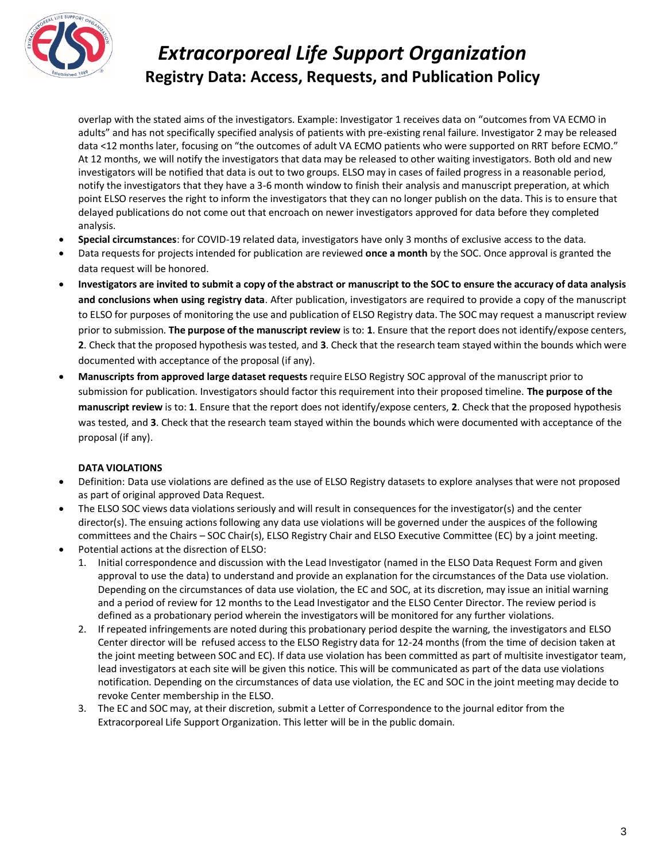

overlap with the stated aims of the investigators. Example: Investigator 1 receives data on "outcomes from VA ECMO in adults" and has not specifically specified analysis of patients with pre-existing renal failure. Investigator 2 may be released data <12 months later, focusing on "the outcomes of adult VA ECMO patients who were supported on RRT before ECMO." At 12 months, we will notify the investigators that data may be released to other waiting investigators. Both old and new investigators will be notified that data is out to two groups. ELSO may in cases of failed progress in a reasonable period, notify the investigators that they have a 3-6 month window to finish their analysis and manuscript preperation, at which point ELSO reserves the right to inform the investigators that they can no longer publish on the data. This is to ensure that delayed publications do not come out that encroach on newer investigators approved for data before they completed analysis.

- **Special circumstances**: for COVID-19 related data, investigators have only 3 months of exclusive access to the data.
- Data requests for projects intended for publication are reviewed **once a month** by the SOC. Once approval is granted the data request will be honored.
- **Investigators are invited to submit a copy of the abstract or manuscript to the SOC to ensure the accuracy of data analysis and conclusions when using registry data**. After publication, investigators are required to provide a copy of the manuscript to ELSO for purposes of monitoring the use and publication of ELSO Registry data. The SOC may request a manuscript review prior to submission. **The purpose of the manuscript review** is to: **1**. Ensure that the report does not identify/expose centers, **2**. Check that the proposed hypothesis was tested, and **3**. Check that the research team stayed within the bounds which were documented with acceptance of the proposal (if any).
- **Manuscripts from approved large dataset requests** require ELSO Registry SOC approval of the manuscript prior to submission for publication. Investigators should factor this requirement into their proposed timeline. **The purpose of the manuscript review** is to: **1**. Ensure that the report does not identify/expose centers, **2**. Check that the proposed hypothesis was tested, and **3**. Check that the research team stayed within the bounds which were documented with acceptance of the proposal (if any).

## **DATA VIOLATIONS**

- Definition: Data use violations are defined as the use of ELSO Registry datasets to explore analyses that were not proposed as part of original approved Data Request.
- The ELSO SOC views data violations seriously and will result in consequences for the investigator(s) and the center director(s). The ensuing actions following any data use violations will be governed under the auspices of the following committees and the Chairs – SOC Chair(s), ELSO Registry Chair and ELSO Executive Committee (EC) by a joint meeting.
- Potential actions at the disrection of ELSO:
	- 1. Initial correspondence and discussion with the Lead Investigator (named in the ELSO Data Request Form and given approval to use the data) to understand and provide an explanation for the circumstances of the Data use violation. Depending on the circumstances of data use violation, the EC and SOC, at its discretion, may issue an initial warning and a period of review for 12 months to the Lead Investigator and the ELSO Center Director. The review period is defined as a probationary period wherein the investigators will be monitored for any further violations.
	- 2. If repeated infringements are noted during this probationary period despite the warning, the investigators and ELSO Center director will be refused access to the ELSO Registry data for 12-24 months (from the time of decision taken at the joint meeting between SOC and EC). If data use violation has been committed as part of multisite investigator team, lead investigators at each site will be given this notice. This will be communicated as part of the data use violations notification. Depending on the circumstances of data use violation, the EC and SOC in the joint meeting may decide to revoke Center membership in the ELSO.
	- 3. The EC and SOC may, at their discretion, submit a Letter of Correspondence to the journal editor from the Extracorporeal Life Support Organization. This letter will be in the public domain.